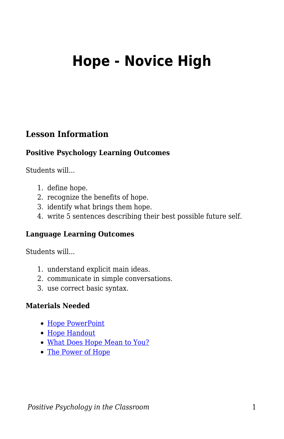# **Hope - Novice High**

## **Lesson Information**

#### **Positive Psychology Learning Outcomes**

Students will...

- 1. define hope.
- 2. recognize the benefits of hope.
- 3. identify what brings them hope.
- 4. write 5 sentences describing their best possible future self.

#### **Language Learning Outcomes**

Students will...

- 1. understand explicit main ideas.
- 2. communicate in simple conversations.
- 3. use correct basic syntax.

#### **Materials Needed**

- [Hope PowerPoint](https://docs.google.com/presentation/d/1v8hcrOAsq7uFu-VwfTMGz-sN1drdj9MeKwkVMSAjZUQ/edit?usp=sharing)
- [Hope Handout](https://docs.google.com/document/d/1wBt9s2hgcWOW-LcTu11J0mGgoDR2K8HczoHM9kPWD_U/edit?usp=sharing)
- [What Does Hope Mean to You?](https://www.youtube.com/watch?v=Y6R421YlU6c)
- [The Power of Hope](https://www.today.com/video/watch-14-year-old-filmmaker-kalia-love-jones-s-animated-short-film-the-power-of-hope-108893765880)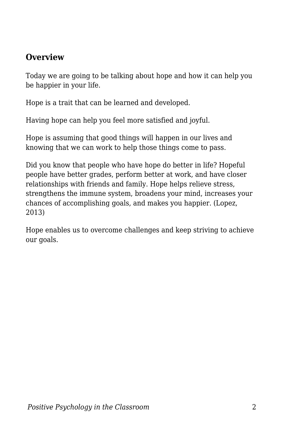## **Overview**

Today we are going to be talking about hope and how it can help you be happier in your life.

Hope is a trait that can be learned and developed.

Having hope can help you feel more satisfied and joyful.

Hope is assuming that good things will happen in our lives and knowing that we can work to help those things come to pass.

Did you know that people who have hope do better in life? Hopeful people have better grades, perform better at work, and have closer relationships with friends and family. Hope helps relieve stress, strengthens the immune system, broadens your mind, increases your chances of accomplishing goals, and makes you happier. (Lopez, 2013)

Hope enables us to overcome challenges and keep striving to achieve our goals.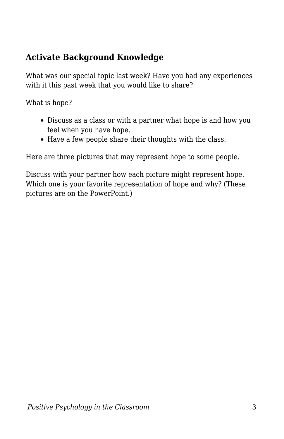# **Activate Background Knowledge**

What was our special topic last week? Have you had any experiences with it this past week that you would like to share?

What is hope?

- Discuss as a class or with a partner what hope is and how you feel when you have hope.
- Have a few people share their thoughts with the class.

Here are three pictures that may represent hope to some people.

Discuss with your partner how each picture might represent hope. Which one is your favorite representation of hope and why? (These pictures are on the PowerPoint.)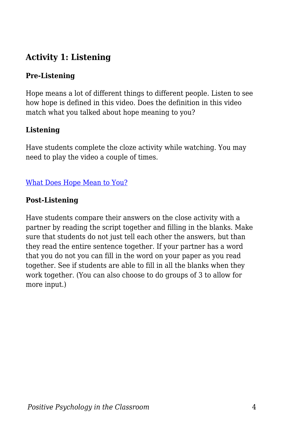# **Activity 1: Listening**

### **Pre-Listening**

Hope means a lot of different things to different people. Listen to see how hope is defined in this video. Does the definition in this video match what you talked about hope meaning to you?

### **Listening**

Have students complete the cloze activity while watching. You may need to play the video a couple of times.

## [What Does Hope Mean to You?](https://www.youtube.com/watch?v=Y6R421YlU6c)

### **Post-Listening**

Have students compare their answers on the close activity with a partner by reading the script together and filling in the blanks. Make sure that students do not just tell each other the answers, but than they read the entire sentence together. If your partner has a word that you do not you can fill in the word on your paper as you read together. See if students are able to fill in all the blanks when they work together. (You can also choose to do groups of 3 to allow for more input.)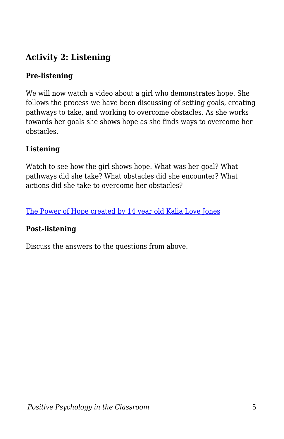# **Activity 2: Listening**

### **Pre-listening**

We will now watch a video about a girl who demonstrates hope. She follows the process we have been discussing of setting goals, creating pathways to take, and working to overcome obstacles. As she works towards her goals she shows hope as she finds ways to overcome her obstacles.

#### **Listening**

Watch to see how the girl shows hope. What was her goal? What pathways did she take? What obstacles did she encounter? What actions did she take to overcome her obstacles?

[The Power of Hope created by 14 year old Kalia Love Jones](https://www.today.com/video/watch-14-year-old-filmmaker-kalia-love-jones-s-animated-short-film-the-power-of-hope-108893765880)

#### **Post-listening**

Discuss the answers to the questions from above.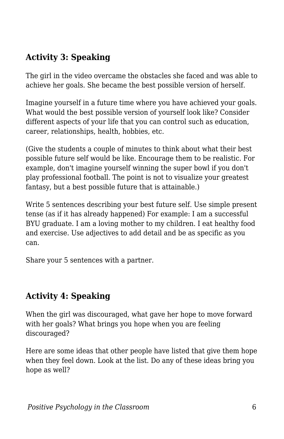# **Activity 3: Speaking**

The girl in the video overcame the obstacles she faced and was able to achieve her goals. She became the best possible version of herself.

Imagine yourself in a future time where you have achieved your goals. What would the best possible version of yourself look like? Consider different aspects of your life that you can control such as education, career, relationships, health, hobbies, etc.

(Give the students a couple of minutes to think about what their best possible future self would be like. Encourage them to be realistic. For example, don't imagine yourself winning the super bowl if you don't play professional football. The point is not to visualize your greatest fantasy, but a best possible future that is attainable.)

Write 5 sentences describing your best future self. Use simple present tense (as if it has already happened) For example: I am a successful BYU graduate. I am a loving mother to my children. I eat healthy food and exercise. Use adjectives to add detail and be as specific as you can.

Share your 5 sentences with a partner.

# **Activity 4: Speaking**

When the girl was discouraged, what gave her hope to move forward with her goals? What brings you hope when you are feeling discouraged?

Here are some ideas that other people have listed that give them hope when they feel down. Look at the list. Do any of these ideas bring you hope as well?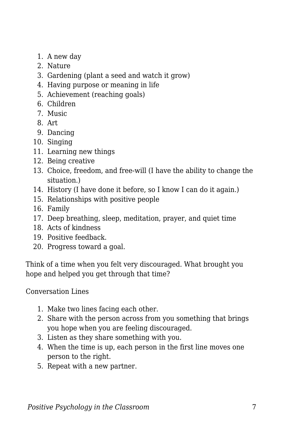- 1. A new day
- 2. Nature
- 3. Gardening (plant a seed and watch it grow)
- 4. Having purpose or meaning in life
- 5. Achievement (reaching goals)
- 6. Children
- 7. Music
- 8. Art
- 9. Dancing
- 10. Singing
- 11. Learning new things
- 12. Being creative
- 13. Choice, freedom, and free-will (I have the ability to change the situation.)
- 14. History (I have done it before, so I know I can do it again.)
- 15. Relationships with positive people
- 16. Family
- 17. Deep breathing, sleep, meditation, prayer, and quiet time
- 18. Acts of kindness
- 19. Positive feedback.
- 20. Progress toward a goal.

Think of a time when you felt very discouraged. What brought you hope and helped you get through that time?

Conversation Lines

- 1. Make two lines facing each other.
- 2. Share with the person across from you something that brings you hope when you are feeling discouraged.
- 3. Listen as they share something with you.
- 4. When the time is up, each person in the first line moves one person to the right.
- 5. Repeat with a new partner.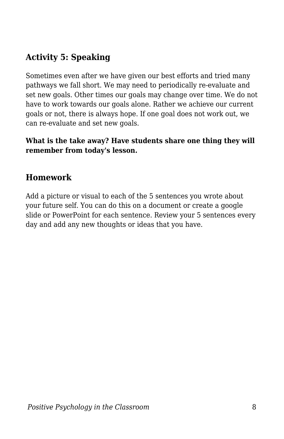# **Activity 5: Speaking**

Sometimes even after we have given our best efforts and tried many pathways we fall short. We may need to periodically re-evaluate and set new goals. Other times our goals may change over time. We do not have to work towards our goals alone. Rather we achieve our current goals or not, there is always hope. If one goal does not work out, we can re-evaluate and set new goals.

#### **What is the take away? Have students share one thing they will remember from today's lesson.**

## **Homework**

Add a picture or visual to each of the 5 sentences you wrote about your future self. You can do this on a document or create a google slide or PowerPoint for each sentence. Review your 5 sentences every day and add any new thoughts or ideas that you have.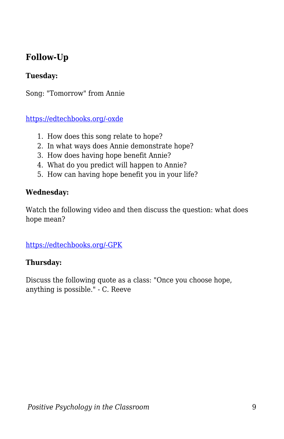# **Follow-Up**

#### **Tuesday:**

Song: "Tomorrow" from Annie

[https://edtechbooks.org/-oxde](https://www.youtube.com/watch?v=Yop62wQH498)

- 1. How does this song relate to hope?
- 2. In what ways does Annie demonstrate hope?
- 3. How does having hope benefit Annie?
- 4. What do you predict will happen to Annie?
- 5. How can having hope benefit you in your life?

#### **Wednesday:**

Watch the following video and then discuss the question: what does hope mean?

[https://edtechbooks.org/-GPK](https://www.youtube.com/watch?v=jakas0D66wg)

#### **Thursday:**

Discuss the following quote as a class: "Once you choose hope, anything is possible." - C. Reeve